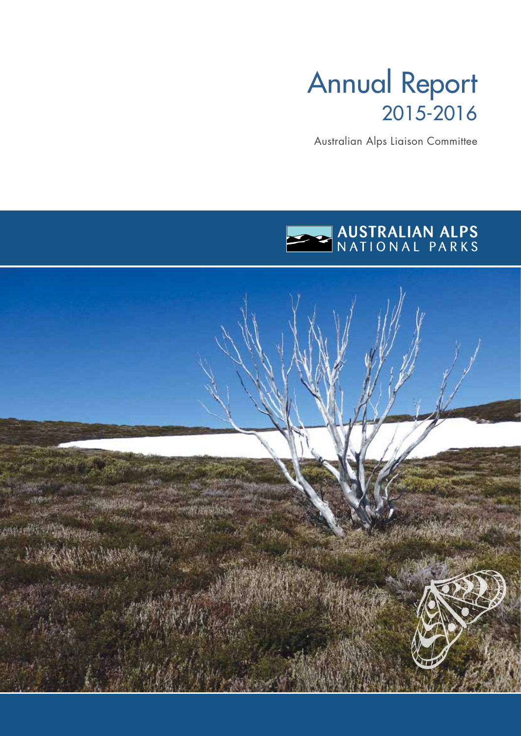# Annual Report 2015-2016

Australian Alps Liaison Committee

# AUSTRALIAN ALPS<br>NATIONAL PARKS

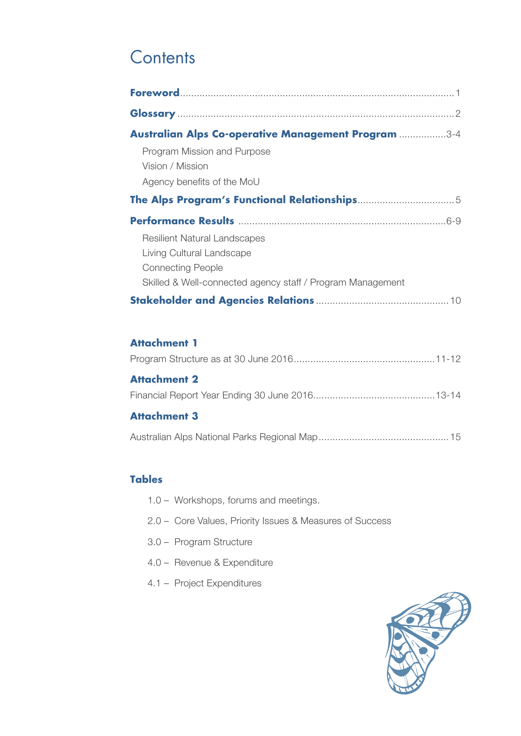### **Contents**

| Australian Alps Co-operative Management Program 3-4        |
|------------------------------------------------------------|
| Program Mission and Purpose                                |
| Vision / Mission                                           |
| Agency benefits of the MoU                                 |
|                                                            |
|                                                            |
| <b>Resilient Natural Landscapes</b>                        |
| Living Cultural Landscape                                  |
| <b>Connecting People</b>                                   |
| Skilled & Well-connected agency staff / Program Management |
|                                                            |

### **Attachment 1**

| <b>Attachment 2</b> |  |
|---------------------|--|
|                     |  |

### **Attachment 3**

|--|--|

### **Tables**

- 1.0 Workshops, forums and meetings.
- 2.0 Core Values, Priority Issues & Measures of Success
- 3.0 Program Structure
- 4.0 Revenue & Expenditure
- 4.1 Project Expenditures

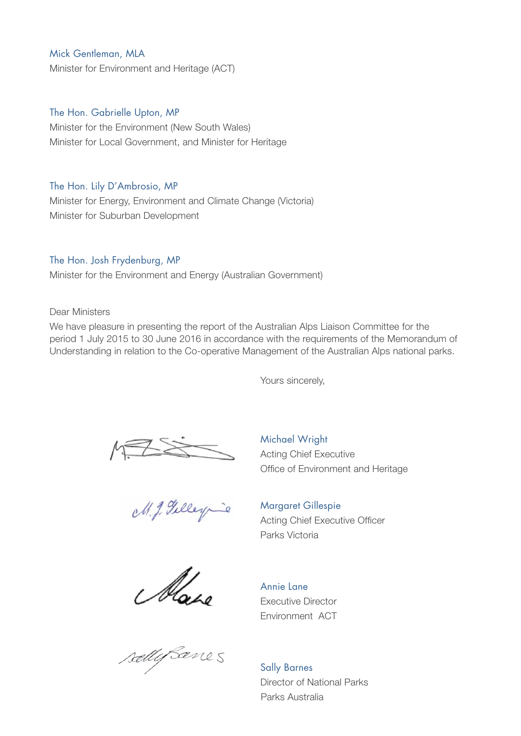### Mick Gentleman, MLA

Minister for Environment and Heritage (ACT)

#### The Hon. Gabrielle Upton, MP

Minister for the Environment (New South Wales) Minister for Local Government, and Minister for Heritage

#### The Hon. Lily D'Ambrosio, MP

Minister for Energy, Environment and Climate Change (Victoria) Minister for Suburban Development

#### The Hon. Josh Frydenburg, MP

Minister for the Environment and Energy (Australian Government)

Dear Ministers

We have pleasure in presenting the report of the Australian Alps Liaison Committee for the period 1 July 2015 to 30 June 2016 in accordance with the requirements of the Memorandum of Understanding in relation to the Co-operative Management of the Australian Alps national parks.

Yours sincerely,

M.J. Gilley is

Michael Wright Acting Chief Executive Office of Environment and Heritage

Margaret Gillespie Acting Chief Executive Officer Parks Victoria

Mare

selly sanes

Annie Lane Executive Director Environment ACT

Sally Barnes Director of National Parks Parks Australia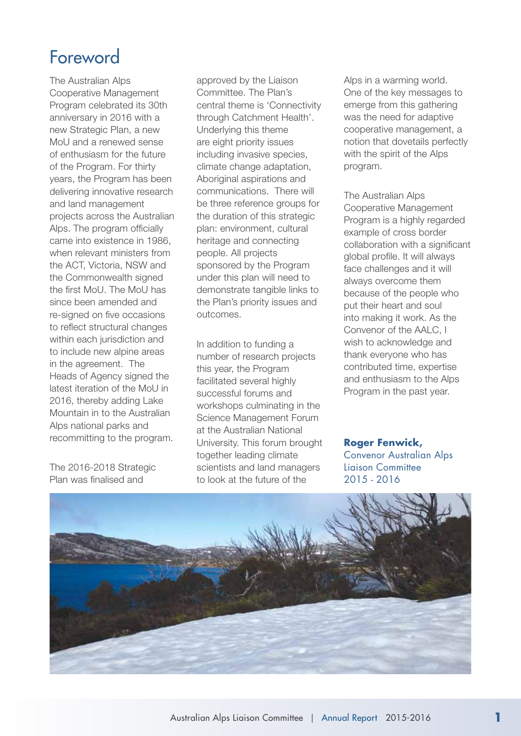### Foreword

The Australian Alps Cooperative Management Program celebrated its 30th anniversary in 2016 with a new Strategic Plan, a new MoU and a renewed sense of enthusiasm for the future of the Program. For thirty years, the Program has been delivering innovative research and land management projects across the Australian Alps. The program officially came into existence in 1986, when relevant ministers from the ACT, Victoria, NSW and the Commonwealth signed the first MoU. The MoU has since been amended and re-signed on five occasions to reflect structural changes within each jurisdiction and to include new alpine areas in the agreement. The Heads of Agency signed the latest iteration of the MoU in 2016, thereby adding Lake Mountain in to the Australian Alps national parks and recommitting to the program.

The 2016-2018 Strategic Plan was finalised and

approved by the Liaison Committee. The Plan's central theme is 'Connectivity through Catchment Health'. Underlying this theme are eight priority issues including invasive species, climate change adaptation, Aboriginal aspirations and communications. There will be three reference groups for the duration of this strategic plan: environment, cultural heritage and connecting people. All projects sponsored by the Program under this plan will need to demonstrate tangible links to the Plan's priority issues and outcomes.

In addition to funding a number of research projects this year, the Program facilitated several highly successful forums and workshops culminating in the Science Management Forum at the Australian National University. This forum brought together leading climate scientists and land managers to look at the future of the

Alps in a warming world. One of the key messages to emerge from this gathering was the need for adaptive cooperative management, a notion that dovetails perfectly with the spirit of the Alps program.

The Australian Alps Cooperative Management Program is a highly regarded example of cross border collaboration with a significant global profile. It will always face challenges and it will always overcome them because of the people who put their heart and soul into making it work. As the Convenor of the AALC, I wish to acknowledge and thank everyone who has contributed time, expertise and enthusiasm to the Alps Program in the past year.

**Roger Fenwick,** Convenor Australian Alps Liaison Committee 2015 - 2016

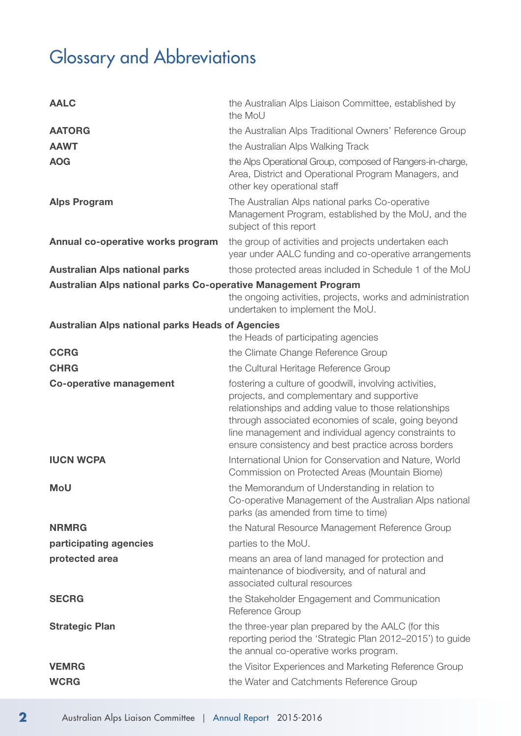# Glossary and Abbreviations

| <b>AALC</b>                                                    | the Australian Alps Liaison Committee, established by<br>the MoU                                                                                                                                                                                                                                                                    |
|----------------------------------------------------------------|-------------------------------------------------------------------------------------------------------------------------------------------------------------------------------------------------------------------------------------------------------------------------------------------------------------------------------------|
| <b>AATORG</b>                                                  | the Australian Alps Traditional Owners' Reference Group                                                                                                                                                                                                                                                                             |
| <b>AAWT</b>                                                    | the Australian Alps Walking Track                                                                                                                                                                                                                                                                                                   |
| <b>AOG</b>                                                     | the Alps Operational Group, composed of Rangers-in-charge,<br>Area, District and Operational Program Managers, and<br>other key operational staff                                                                                                                                                                                   |
| <b>Alps Program</b>                                            | The Australian Alps national parks Co-operative<br>Management Program, established by the MoU, and the<br>subject of this report                                                                                                                                                                                                    |
| Annual co-operative works program                              | the group of activities and projects undertaken each<br>year under AALC funding and co-operative arrangements                                                                                                                                                                                                                       |
| <b>Australian Alps national parks</b>                          | those protected areas included in Schedule 1 of the MoU                                                                                                                                                                                                                                                                             |
| Australian Alps national parks Co-operative Management Program | the ongoing activities, projects, works and administration<br>undertaken to implement the MoU.                                                                                                                                                                                                                                      |
| <b>Australian Alps national parks Heads of Agencies</b>        | the Heads of participating agencies                                                                                                                                                                                                                                                                                                 |
| <b>CCRG</b>                                                    | the Climate Change Reference Group                                                                                                                                                                                                                                                                                                  |
| <b>CHRG</b>                                                    | the Cultural Heritage Reference Group                                                                                                                                                                                                                                                                                               |
| <b>Co-operative management</b>                                 | fostering a culture of goodwill, involving activities,<br>projects, and complementary and supportive<br>relationships and adding value to those relationships<br>through associated economies of scale, going beyond<br>line management and individual agency constraints to<br>ensure consistency and best practice across borders |
| <b>IUCN WCPA</b>                                               | International Union for Conservation and Nature, World<br>Commission on Protected Areas (Mountain Biome)                                                                                                                                                                                                                            |
| <b>MoU</b>                                                     | the Memorandum of Understanding in relation to<br>Co-operative Management of the Australian Alps national<br>parks (as amended from time to time)                                                                                                                                                                                   |
| <b>NRMRG</b>                                                   | the Natural Resource Management Reference Group                                                                                                                                                                                                                                                                                     |
| participating agencies                                         | parties to the MoU.                                                                                                                                                                                                                                                                                                                 |
| protected area                                                 | means an area of land managed for protection and<br>maintenance of biodiversity, and of natural and<br>associated cultural resources                                                                                                                                                                                                |
| <b>SECRG</b>                                                   | the Stakeholder Engagement and Communication<br>Reference Group                                                                                                                                                                                                                                                                     |
| <b>Strategic Plan</b>                                          | the three-year plan prepared by the AALC (for this<br>reporting period the 'Strategic Plan 2012-2015') to guide<br>the annual co-operative works program.                                                                                                                                                                           |
| <b>VEMRG</b>                                                   | the Visitor Experiences and Marketing Reference Group                                                                                                                                                                                                                                                                               |
| <b>WCRG</b>                                                    | the Water and Catchments Reference Group                                                                                                                                                                                                                                                                                            |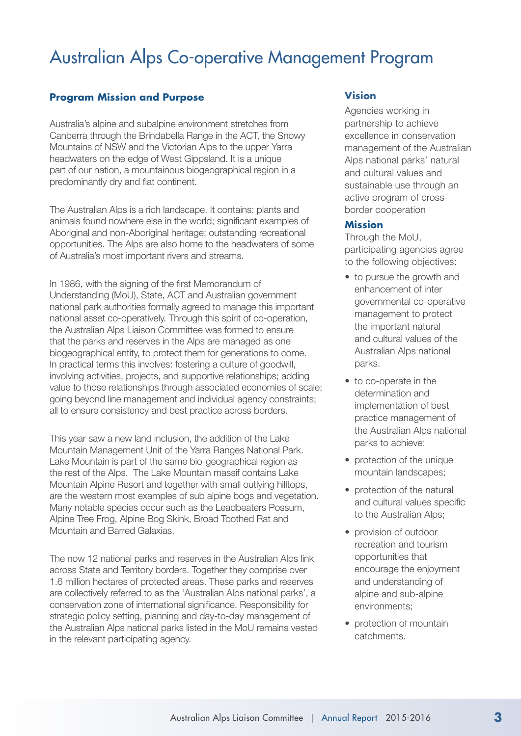### Australian Alps Co-operative Management Program

### **Program Mission and Purpose**

Australia's alpine and subalpine environment stretches from Canberra through the Brindabella Range in the ACT, the Snowy Mountains of NSW and the Victorian Alps to the upper Yarra headwaters on the edge of West Gippsland. It is a unique part of our nation, a mountainous biogeographical region in a predominantly dry and flat continent.

The Australian Alps is a rich landscape. It contains: plants and animals found nowhere else in the world; significant examples of Aboriginal and non-Aboriginal heritage; outstanding recreational opportunities. The Alps are also home to the headwaters of some of Australia's most important rivers and streams.

In 1986, with the signing of the first Memorandum of Understanding (MoU), State, ACT and Australian government national park authorities formally agreed to manage this important national asset co-operatively. Through this spirit of co-operation, the Australian Alps Liaison Committee was formed to ensure that the parks and reserves in the Alps are managed as one biogeographical entity, to protect them for generations to come. In practical terms this involves: fostering a culture of goodwill, involving activities, projects, and supportive relationships; adding value to those relationships through associated economies of scale; going beyond line management and individual agency constraints; all to ensure consistency and best practice across borders.

This year saw a new land inclusion, the addition of the Lake Mountain Management Unit of the Yarra Ranges National Park. Lake Mountain is part of the same bio-geographical region as the rest of the Alps. The Lake Mountain massif contains Lake Mountain Alpine Resort and together with small outlying hilltops, are the western most examples of sub alpine bogs and vegetation. Many notable species occur such as the Leadbeaters Possum, Alpine Tree Frog, Alpine Bog Skink, Broad Toothed Rat and Mountain and Barred Galaxias.

The now 12 national parks and reserves in the Australian Alps link across State and Territory borders. Together they comprise over 1.6 million hectares of protected areas. These parks and reserves are collectively referred to as the 'Australian Alps national parks', a conservation zone of international significance. Responsibility for strategic policy setting, planning and day-to-day management of the Australian Alps national parks listed in the MoU remains vested in the relevant participating agency.

### **Vision**

Agencies working in partnership to achieve excellence in conservation management of the Australian Alps national parks' natural and cultural values and sustainable use through an active program of crossborder cooperation

#### **Mission**

Through the MoU, participating agencies agree to the following objectives:

- to pursue the growth and enhancement of inter governmental co-operative management to protect the important natural and cultural values of the Australian Alps national parks.
- to co-operate in the determination and implementation of best practice management of the Australian Alps national parks to achieve:
- protection of the unique mountain landscapes;
- protection of the natural and cultural values specific to the Australian Alps;
- provision of outdoor recreation and tourism opportunities that encourage the enjoyment and understanding of alpine and sub-alpine environments;
- protection of mountain catchments.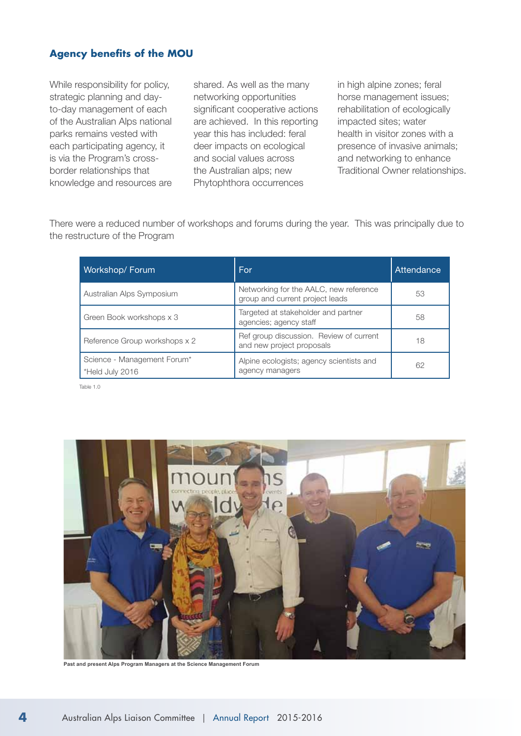### **Agency benefits of the MOU**

While responsibility for policy, strategic planning and dayto-day management of each of the Australian Alps national parks remains vested with each participating agency, it is via the Program's crossborder relationships that knowledge and resources are shared. As well as the many networking opportunities significant cooperative actions are achieved. In this reporting year this has included: feral deer impacts on ecological and social values across the Australian alps; new Phytophthora occurrences

in high alpine zones; feral horse management issues; rehabilitation of ecologically impacted sites; water health in visitor zones with a presence of invasive animals; and networking to enhance Traditional Owner relationships.

There were a reduced number of workshops and forums during the year. This was principally due to the restructure of the Program

| Workshop/Forum                                 | <b>For</b>                                                                | Attendance |
|------------------------------------------------|---------------------------------------------------------------------------|------------|
| Australian Alps Symposium                      | Networking for the AALC, new reference<br>group and current project leads | 53         |
| Green Book workshops x 3                       | Targeted at stakeholder and partner<br>agencies; agency staff             | 58         |
| Reference Group workshops x 2                  | Ref group discussion. Review of current<br>and new project proposals      | 18         |
| Science - Management Forum*<br>*Held July 2016 | Alpine ecologists; agency scientists and<br>agency managers               | 62         |

Table 1.0



**Past and present Alps Program Managers at the Science Management Forum**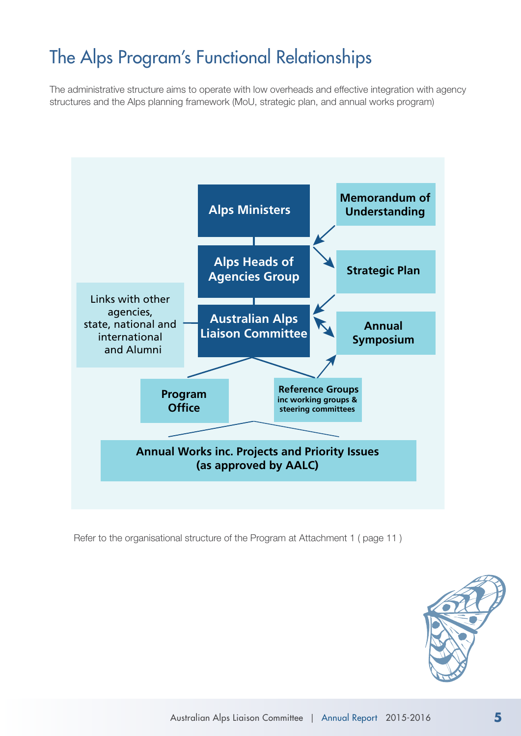### The Alps Program's Functional Relationships

The administrative structure aims to operate with low overheads and effective integration with agency structures and the Alps planning framework (MoU, strategic plan, and annual works program)



Refer to the organisational structure of the Program at Attachment 1 ( page 11 )

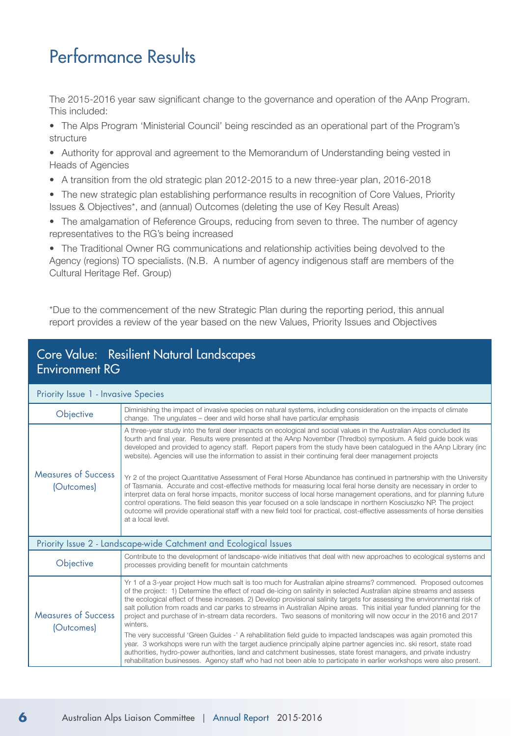### Performance Results

The 2015-2016 year saw significant change to the governance and operation of the AAnp Program. This included:

• The Alps Program 'Ministerial Council' being rescinded as an operational part of the Program's structure

• Authority for approval and agreement to the Memorandum of Understanding being vested in Heads of Agencies

- A transition from the old strategic plan 2012-2015 to a new three-year plan, 2016-2018
- The new strategic plan establishing performance results in recognition of Core Values, Priority Issues & Objectives\*, and (annual) Outcomes (deleting the use of Key Result Areas)
- The amalgamation of Reference Groups, reducing from seven to three. The number of agency representatives to the RG's being increased

• The Traditional Owner RG communications and relationship activities being devolved to the Agency (regions) TO specialists. (N.B. A number of agency indigenous staff are members of the Cultural Heritage Ref. Group)

\*Due to the commencement of the new Strategic Plan during the reporting period, this annual report provides a review of the year based on the new Values, Priority Issues and Objectives

### Core Value: Resilient Natural Landscapes Environment RG

| Priority Issue 1 - Invasive Species                               |                                                                                                                                                                                                                                                                                                                                                                                                                                                                                                                                                                                                                                                                                                                                                                                                                                                                                                                                                                                                                                                                                                                        |  |
|-------------------------------------------------------------------|------------------------------------------------------------------------------------------------------------------------------------------------------------------------------------------------------------------------------------------------------------------------------------------------------------------------------------------------------------------------------------------------------------------------------------------------------------------------------------------------------------------------------------------------------------------------------------------------------------------------------------------------------------------------------------------------------------------------------------------------------------------------------------------------------------------------------------------------------------------------------------------------------------------------------------------------------------------------------------------------------------------------------------------------------------------------------------------------------------------------|--|
| Objective                                                         | Diminishing the impact of invasive species on natural systems, including consideration on the impacts of climate<br>change. The unquiates – deer and wild horse shall have particular emphasis                                                                                                                                                                                                                                                                                                                                                                                                                                                                                                                                                                                                                                                                                                                                                                                                                                                                                                                         |  |
| <b>Measures of Success</b><br>(Outcomes)                          | A three-year study into the feral deer impacts on ecological and social values in the Australian Alps concluded its<br>fourth and final year. Results were presented at the AAnp November (Thredbo) symposium. A field quide book was<br>developed and provided to agency staff. Report papers from the study have been catalogued in the AAnp Library (inc<br>website). Agencies will use the information to assist in their continuing feral deer management projects<br>Yr 2 of the project Quantitative Assessment of Feral Horse Abundance has continued in partnership with the University<br>of Tasmania. Accurate and cost-effective methods for measuring local feral horse density are necessary in order to<br>interpret data on feral horse impacts, monitor success of local horse management operations, and for planning future<br>control operations. The field season this year focused on a sole landscape in northern Kosciuszko NP. The project<br>outcome will provide operational staff with a new field tool for practical, cost-effective assessments of horse densities<br>at a local level.  |  |
| Priority Issue 2 - Landscape-wide Catchment and Ecological Issues |                                                                                                                                                                                                                                                                                                                                                                                                                                                                                                                                                                                                                                                                                                                                                                                                                                                                                                                                                                                                                                                                                                                        |  |
| Objective                                                         | Contribute to the development of landscape-wide initiatives that deal with new approaches to ecological systems and<br>processes providing benefit for mountain catchments                                                                                                                                                                                                                                                                                                                                                                                                                                                                                                                                                                                                                                                                                                                                                                                                                                                                                                                                             |  |
| <b>Measures of Success</b><br>(Outcomes)                          | Yr 1 of a 3-year project How much salt is too much for Australian alpine streams? commenced. Proposed outcomes<br>of the project: 1) Determine the effect of road de-icing on salinity in selected Australian alpine streams and assess<br>the ecological effect of these increases. 2) Develop provisional salinity targets for assessing the environmental risk of<br>salt pollution from roads and car parks to streams in Australian Alpine areas. This initial year funded planning for the<br>project and purchase of in-stream data recorders. Two seasons of monitoring will now occur in the 2016 and 2017<br>winters.<br>The very successful 'Green Guides -' A rehabilitation field guide to impacted landscapes was again promoted this<br>year. 3 workshops were run with the target audience principally alpine partner agencies inc. ski resort, state road<br>authorities, hydro-power authorities, land and catchment businesses, state forest managers, and private industry<br>rehabilitation businesses. Agency staff who had not been able to participate in earlier workshops were also present. |  |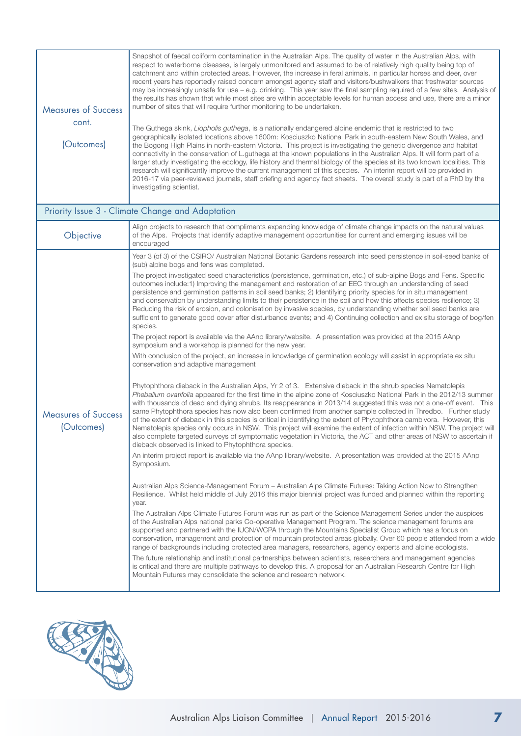| <b>Measures of Success</b><br>cont.<br>(Outcomes) | Snapshot of faecal coliform contamination in the Australian Alps. The quality of water in the Australian Alps, with<br>respect to waterborne diseases, is largely unmonitored and assumed to be of relatively high quality being top of<br>catchment and within protected areas. However, the increase in feral animals, in particular horses and deer, over<br>recent years has reportedly raised concern amongst agency staff and visitors/bushwalkers that freshwater sources<br>may be increasingly unsafe for use - e.g. drinking. This year saw the final sampling required of a few sites. Analysis of<br>the results has shown that while most sites are within acceptable levels for human access and use, there are a minor<br>number of sites that will require further monitoring to be undertaken.<br>The Guthega skink, Liopholis guthega, is a nationally endangered alpine endemic that is restricted to two<br>geographically isolated locations above 1600m: Kosciuszko National Park in south-eastern New South Wales, and<br>the Bogong High Plains in north-eastern Victoria. This project is investigating the genetic divergence and habitat<br>connectivity in the conservation of L.guthega at the known populations in the Australian Alps. It will form part of a<br>larger study investigating the ecology, life history and thermal biology of the species at its two known localities. This<br>research will significantly improve the current management of this species. An interim report will be provided in<br>2016-17 via peer-reviewed journals, staff briefing and agency fact sheets. The overall study is part of a PhD by the<br>investigating scientist.                                                                                                                                                                                                                                                                                                                                                                                                                                                                                                                                                                                                                                                                                                                                                                                                                                                                                                                                                                                                                                                                                                                                                                                                                                                                                                                                                                                                                                                                                                                                                                                                                                                                                                                                            |
|---------------------------------------------------|-----------------------------------------------------------------------------------------------------------------------------------------------------------------------------------------------------------------------------------------------------------------------------------------------------------------------------------------------------------------------------------------------------------------------------------------------------------------------------------------------------------------------------------------------------------------------------------------------------------------------------------------------------------------------------------------------------------------------------------------------------------------------------------------------------------------------------------------------------------------------------------------------------------------------------------------------------------------------------------------------------------------------------------------------------------------------------------------------------------------------------------------------------------------------------------------------------------------------------------------------------------------------------------------------------------------------------------------------------------------------------------------------------------------------------------------------------------------------------------------------------------------------------------------------------------------------------------------------------------------------------------------------------------------------------------------------------------------------------------------------------------------------------------------------------------------------------------------------------------------------------------------------------------------------------------------------------------------------------------------------------------------------------------------------------------------------------------------------------------------------------------------------------------------------------------------------------------------------------------------------------------------------------------------------------------------------------------------------------------------------------------------------------------------------------------------------------------------------------------------------------------------------------------------------------------------------------------------------------------------------------------------------------------------------------------------------------------------------------------------------------------------------------------------------------------------------------------------------------------------------------------------------------------------------------------------------------------------------------------------------------------------------------------------------------------------------------------------------------------------------------------------------------------------------------------------------------------------------------------------------------------------------------------------------------------------------------------------------------------------------------------------------------------------------------------------------|
|                                                   | Priority Issue 3 - Climate Change and Adaptation                                                                                                                                                                                                                                                                                                                                                                                                                                                                                                                                                                                                                                                                                                                                                                                                                                                                                                                                                                                                                                                                                                                                                                                                                                                                                                                                                                                                                                                                                                                                                                                                                                                                                                                                                                                                                                                                                                                                                                                                                                                                                                                                                                                                                                                                                                                                                                                                                                                                                                                                                                                                                                                                                                                                                                                                                                                                                                                                                                                                                                                                                                                                                                                                                                                                                                                                                                                              |
| Objective                                         | Align projects to research that compliments expanding knowledge of climate change impacts on the natural values<br>of the Alps. Projects that identify adaptive management opportunities for current and emerging issues will be<br>encouraged                                                                                                                                                                                                                                                                                                                                                                                                                                                                                                                                                                                                                                                                                                                                                                                                                                                                                                                                                                                                                                                                                                                                                                                                                                                                                                                                                                                                                                                                                                                                                                                                                                                                                                                                                                                                                                                                                                                                                                                                                                                                                                                                                                                                                                                                                                                                                                                                                                                                                                                                                                                                                                                                                                                                                                                                                                                                                                                                                                                                                                                                                                                                                                                                |
| <b>Measures of Success</b><br>(Outcomes)          | Year 3 (of 3) of the CSIRO/ Australian National Botanic Gardens research into seed persistence in soil-seed banks of<br>(sub) alpine bogs and fens was completed.<br>The project investigated seed characteristics (persistence, germination, etc.) of sub-alpine Bogs and Fens. Specific<br>outcomes include:1) Improving the management and restoration of an EEC through an understanding of seed<br>persistence and germination patterns in soil seed banks; 2) Identifying priority species for in situ management<br>and conservation by understanding limits to their persistence in the soil and how this affects species resilience; 3)<br>Reducing the risk of erosion, and colonisation by invasive species, by understanding whether soil seed banks are<br>sufficient to generate good cover after disturbance events; and 4) Continuing collection and ex situ storage of bog/fen<br>species.<br>The project report is available via the AAnp library/website. A presentation was provided at the 2015 AAnp<br>symposium and a workshop is planned for the new year.<br>With conclusion of the project, an increase in knowledge of germination ecology will assist in appropriate ex situ<br>conservation and adaptive management<br>Phytophthora dieback in the Australian Alps, Yr 2 of 3. Extensive dieback in the shrub species Nematolepis<br>Phebalium ovatifolia appeared for the first time in the alpine zone of Kosciuszko National Park in the 2012/13 summer<br>with thousands of dead and dying shrubs. Its reappearance in 2013/14 suggested this was not a one-off event. This<br>same Phytophthora species has now also been confirmed from another sample collected in Thredbo. Further study<br>of the extent of dieback in this species is critical in identifying the extent of Phytophthora cambivora. However, this<br>Nematolepis species only occurs in NSW. This project will examine the extent of infection within NSW. The project will<br>also complete targeted surveys of symptomatic vegetation in Victoria, the ACT and other areas of NSW to ascertain if  <br>dieback observed is linked to Phytophthora species.<br>An interim project report is available via the AAnp library/website. A presentation was provided at the 2015 AAnp<br>Symposium.<br>Australian Alps Science-Management Forum – Australian Alps Climate Futures: Taking Action Now to Strengthen<br>Resilience. Whilst held middle of July 2016 this major biennial project was funded and planned within the reporting<br>year.<br>The Australian Alps Climate Futures Forum was run as part of the Science Management Series under the auspices<br>of the Australian Alps national parks Co-operative Management Program. The science management forums are<br>supported and partnered with the IUCN/WCPA through the Mountains Specialist Group which has a focus on<br>conservation, management and protection of mountain protected areas globally. Over 60 people attended from a wide<br>range of backgrounds including protected area managers, researchers, agency experts and alpine ecologists.<br>The future relationship and institutional partnerships between scientists, researchers and management agencies<br>is critical and there are multiple pathways to develop this. A proposal for an Australian Research Centre for High<br>Mountain Futures may consolidate the science and research network. |

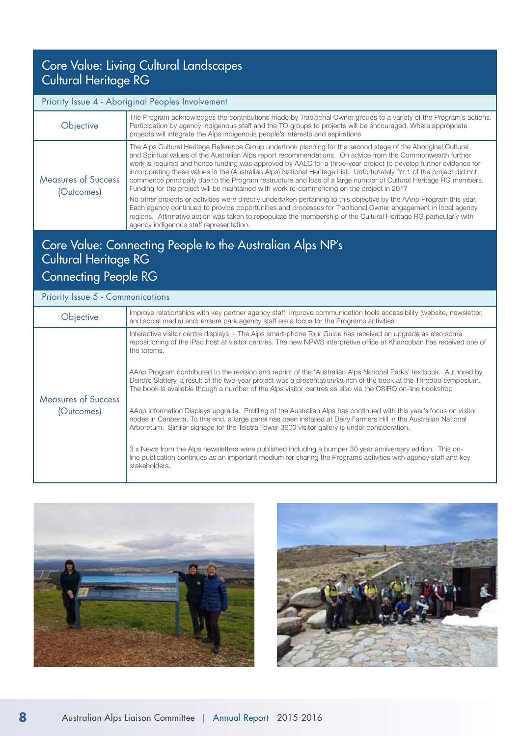### Core Value: Living Cultural Landscapes Cultural Heritage RG

### Priority Issue 4 - Aboriginal Peoples Involvement

| Objective                                | The Program acknowledges the contributions made by Traditional Owner groups to a variety of the Program's actions.<br>Participation by agency indigenous staff and the TO groups to projects will be encouraged. Where appropriate<br>projects will integrate the Alps indigenous people's interests and aspirations                                                                                                                                                                                                                                                                                                                                                                       |
|------------------------------------------|--------------------------------------------------------------------------------------------------------------------------------------------------------------------------------------------------------------------------------------------------------------------------------------------------------------------------------------------------------------------------------------------------------------------------------------------------------------------------------------------------------------------------------------------------------------------------------------------------------------------------------------------------------------------------------------------|
| <b>Measures of Success</b><br>(Outcomes) | The Alps Cultural Heritage Reference Group undertook planning for the second stage of the Aboriginal Cultural<br>and Spiritual values of the Australian Alps report recommendations. On advice from the Commonwealth further<br>work is required and hence funding was approved by AALC for a three-year project to develop further evidence for<br>incorporating these values in the (Australian Alps) National Heritage List. Unfortunately, Yr 1 of the project did not<br>commence principally due to the Program restructure and loss of a large number of Cultural Heritage RG members.<br>Funding for the project will be maintained with work re-commencing on the project in 2017 |
|                                          | No other projects or activities were directly undertaken pertaining to this objective by the AAnp Program this year.<br>Each agency continued to provide opportunities and processes for Traditional Owner engagement in local agency<br>regions. Affirmative action was taken to repopulate the membership of the Cultural Heritage RG particularly with<br>agency indigenous staff representation.                                                                                                                                                                                                                                                                                       |

### Core Value: Connecting People to the Australian Alps NP's Cultural Heritage RG Connecting People RG

| Priority Issue 5 - Communications |                                                                                                                                                                                                                                                                                                                                                      |  |
|-----------------------------------|------------------------------------------------------------------------------------------------------------------------------------------------------------------------------------------------------------------------------------------------------------------------------------------------------------------------------------------------------|--|
| Objective                         | Improve relationships with key partner agency staff; improve communication tools accessibility (website, newsletter,<br>and social media) and; ensure park agency staff are a focus for the Programs activities                                                                                                                                      |  |
|                                   | Interactive visitor centre displays - The Alps smart-phone Tour Guide has received an upgrade as also some<br>repositioning of the iPad host at visitor centres. The new NPWS interpretive office at Khancoban has received one of<br>the totems.                                                                                                    |  |
| <b>Measures of Success</b>        | AAnp Program contributed to the revision and reprint of the 'Australian Alps National Parks' textbook. Authored by<br>Deirdre Slattery, a result of the two-year project was a presentation/launch of the book at the Thredbo symposium.<br>The book is available though a number of the Alps visitor centres as also via the CSIRO on-line bookshop |  |
| (Outcomes)                        | AAnp Information Displays upgrade. Profiling of the Australian Alps has continued with this year's focus on visitor<br>nodes in Canberra. To this end, a large panel has been installed at Dairy Farmers Hill in the Australian National<br>Arboretum. Similar signage for the Telstra Tower 3600 visitor gallery is under consideration.            |  |
|                                   | 3 x News from the Alps newsletters were published including a bumper 30 year anniversary edition. This on-<br>line publication continues as an important medium for sharing the Programs activities with agency staff and key<br>stakeholders.                                                                                                       |  |



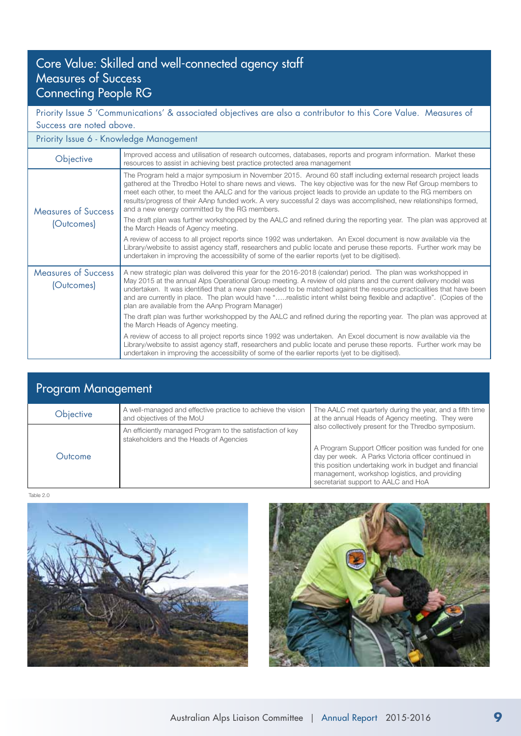### Core Value: Skilled and well-connected agency staff Measures of Success Connecting People RG

Priority Issue 5 'Communications' & associated objectives are also a contributor to this Core Value. Measures of Success are noted above.

### Priority Issue 6 - Knowledge Management

| Objective                                | Improved access and utilisation of research outcomes, databases, reports and program information. Market these<br>resources to assist in achieving best practice protected area management                                                                                                                                                                                                                                                                                                                                              |
|------------------------------------------|-----------------------------------------------------------------------------------------------------------------------------------------------------------------------------------------------------------------------------------------------------------------------------------------------------------------------------------------------------------------------------------------------------------------------------------------------------------------------------------------------------------------------------------------|
| <b>Measures of Success</b>               | The Program held a major symposium in November 2015. Around 60 staff including external research project leads<br>gathered at the Thredbo Hotel to share news and views. The key objective was for the new Ref Group members to<br>meet each other, to meet the AALC and for the various project leads to provide an update to the RG members on<br>results/progress of their AAnp funded work. A very successful 2 days was accomplished, new relationships formed,<br>and a new energy committed by the RG members.                   |
| (Outcomes)                               | The draft plan was further workshopped by the AALC and refined during the reporting year. The plan was approved at<br>the March Heads of Agency meeting.                                                                                                                                                                                                                                                                                                                                                                                |
|                                          | A review of access to all project reports since 1992 was undertaken. An Excel document is now available via the<br>Library/website to assist agency staff, researchers and public locate and peruse these reports. Further work may be<br>undertaken in improving the accessibility of some of the earlier reports (yet to be digitised).                                                                                                                                                                                               |
| <b>Measures of Success</b><br>(Outcomes) | A new strategic plan was delivered this year for the 2016-2018 (calendar) period. The plan was workshopped in<br>May 2015 at the annual Alps Operational Group meeting. A review of old plans and the current delivery model was<br>undertaken. It was identified that a new plan needed to be matched against the resource practicalities that have been<br>and are currently in place. The plan would have "realistic intent whilst being flexible and adaptive". (Copies of the<br>plan are available from the AAnp Program Manager) |
|                                          | The draft plan was further workshopped by the AALC and refined during the reporting year. The plan was approved at<br>the March Heads of Agency meeting.                                                                                                                                                                                                                                                                                                                                                                                |
|                                          | A review of access to all project reports since 1992 was undertaken. An Excel document is now available via the<br>Library/website to assist agency staff, researchers and public locate and peruse these reports. Further work may be<br>undertaken in improving the accessibility of some of the earlier reports (yet to be digitised).                                                                                                                                                                                               |

| Program Management |                                                                                                     |                                                                                                                                                                                                                                                                                                                        |
|--------------------|-----------------------------------------------------------------------------------------------------|------------------------------------------------------------------------------------------------------------------------------------------------------------------------------------------------------------------------------------------------------------------------------------------------------------------------|
| Objective          | A well-managed and effective practice to achieve the vision<br>and objectives of the MoU            | The AALC met quarterly during the year, and a fifth time<br>at the annual Heads of Agency meeting. They were                                                                                                                                                                                                           |
| Outcome            | An efficiently managed Program to the satisfaction of key<br>stakeholders and the Heads of Agencies | also collectively present for the Thredbo symposium.<br>A Program Support Officer position was funded for one<br>day per week. A Parks Victoria officer continued in<br>this position undertaking work in budget and financial<br>management, workshop logistics, and providing<br>secretariat support to AALC and HoA |

Table 2.0



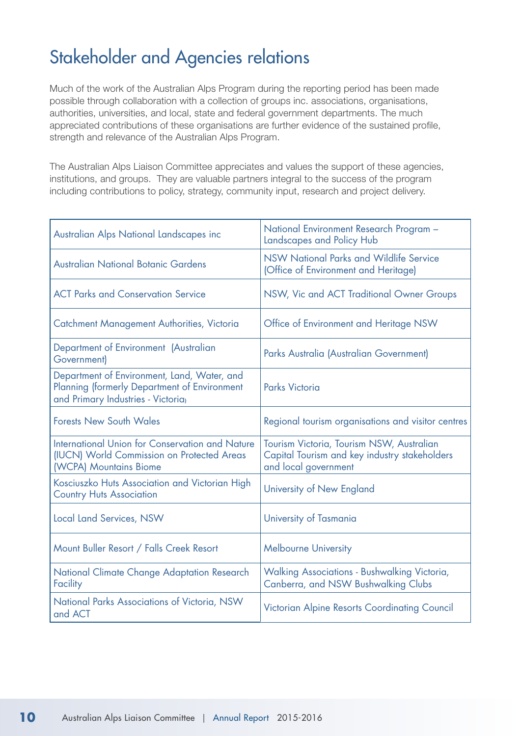### Stakeholder and Agencies relations

Much of the work of the Australian Alps Program during the reporting period has been made possible through collaboration with a collection of groups inc. associations, organisations, authorities, universities, and local, state and federal government departments. The much appreciated contributions of these organisations are further evidence of the sustained profile, strength and relevance of the Australian Alps Program.

The Australian Alps Liaison Committee appreciates and values the support of these agencies, institutions, and groups. They are valuable partners integral to the success of the program including contributions to policy, strategy, community input, research and project delivery.

| Australian Alps National Landscapes inc                                                                                           | National Environment Research Program -<br>Landscapes and Policy Hub                                               |
|-----------------------------------------------------------------------------------------------------------------------------------|--------------------------------------------------------------------------------------------------------------------|
| <b>Australian National Botanic Gardens</b>                                                                                        | NSW National Parks and Wildlife Service<br>(Office of Environment and Heritage)                                    |
| <b>ACT Parks and Conservation Service</b>                                                                                         | NSW, Vic and ACT Traditional Owner Groups                                                                          |
| Catchment Management Authorities, Victoria                                                                                        | Office of Environment and Heritage NSW                                                                             |
| Department of Environment (Australian<br>Government)                                                                              | Parks Australia (Australian Government)                                                                            |
| Department of Environment, Land, Water, and<br>Planning (formerly Department of Environment<br>and Primary Industries - Victoria, | <b>Parks Victoria</b>                                                                                              |
| <b>Forests New South Wales</b>                                                                                                    | Regional tourism organisations and visitor centres                                                                 |
| International Union for Conservation and Nature<br>(IUCN) World Commission on Protected Areas<br>(WCPA) Mountains Biome           | Tourism Victoria, Tourism NSW, Australian<br>Capital Tourism and key industry stakeholders<br>and local government |
| Kosciuszko Huts Association and Victorian High<br><b>Country Huts Association</b>                                                 | University of New England                                                                                          |
| <b>Local Land Services, NSW</b>                                                                                                   | University of Tasmania                                                                                             |
| Mount Buller Resort / Falls Creek Resort                                                                                          | <b>Melbourne University</b>                                                                                        |
| National Climate Change Adaptation Research<br>Facility                                                                           | Walking Associations - Bushwalking Victoria,<br>Canberra, and NSW Bushwalking Clubs                                |
| National Parks Associations of Victoria, NSW<br>and ACT                                                                           | <b>Victorian Alpine Resorts Coordinating Council</b>                                                               |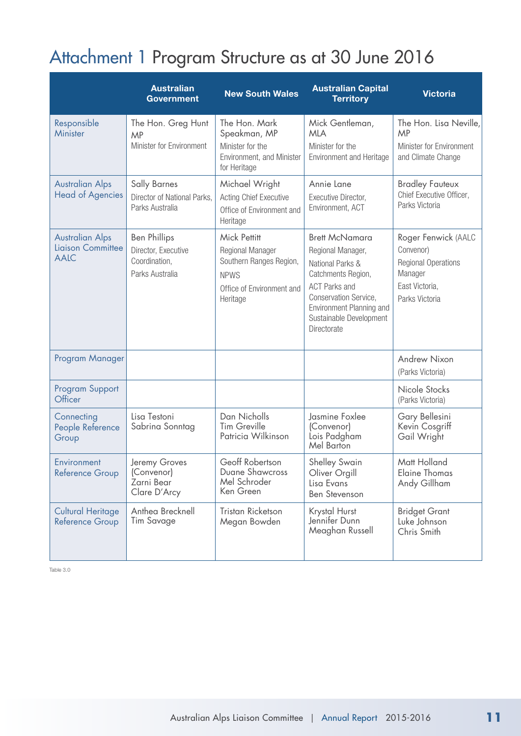### Attachment 1 Program Structure as at 30 June 2016

|                                                                   | <b>Australian</b><br><b>Government</b>                                         | <b>New South Wales</b>                                                                                              | <b>Australian Capital</b><br><b>Territory</b>                                                                                                                                                               | <b>Victoria</b>                                                                                               |
|-------------------------------------------------------------------|--------------------------------------------------------------------------------|---------------------------------------------------------------------------------------------------------------------|-------------------------------------------------------------------------------------------------------------------------------------------------------------------------------------------------------------|---------------------------------------------------------------------------------------------------------------|
| Responsible<br>Minister                                           | The Hon. Greg Hunt<br>MP<br>Minister for Environment                           | The Hon. Mark<br>Speakman, MP<br>Minister for the<br>Environment, and Minister<br>for Heritage                      | Mick Gentleman,<br><b>MLA</b><br>Minister for the<br><b>Environment and Heritage</b>                                                                                                                        | The Hon. Lisa Neville,<br>MP<br>Minister for Environment<br>and Climate Change                                |
| <b>Australian Alps</b><br><b>Head of Agencies</b>                 | <b>Sally Barnes</b><br>Director of National Parks,<br>Parks Australia          | Michael Wright<br><b>Acting Chief Executive</b><br>Office of Environment and<br>Heritage                            | Annie Lane<br>Executive Director,<br>Environment, ACT                                                                                                                                                       | <b>Bradley Fauteux</b><br>Chief Executive Officer,<br>Parks Victoria                                          |
| <b>Australian Alps</b><br><b>Liaison Committee</b><br><b>AALC</b> | <b>Ben Phillips</b><br>Director, Executive<br>Coordination,<br>Parks Australia | Mick Pettitt<br>Regional Manager<br>Southern Ranges Region,<br><b>NPWS</b><br>Office of Environment and<br>Heritage | <b>Brett McNamara</b><br>Regional Manager,<br>National Parks &<br>Catchments Region,<br><b>ACT Parks and</b><br>Conservation Service,<br>Environment Planning and<br>Sustainable Development<br>Directorate | Roger Fenwick (AALC<br>Convenor)<br><b>Regional Operations</b><br>Manager<br>East Victoria,<br>Parks Victoria |
| Program Manager                                                   |                                                                                |                                                                                                                     |                                                                                                                                                                                                             | <b>Andrew Nixon</b><br>(Parks Victoria)                                                                       |
| <b>Program Support</b><br>Officer                                 |                                                                                |                                                                                                                     |                                                                                                                                                                                                             | Nicole Stocks<br>(Parks Victoria)                                                                             |
| Connecting<br>People Reference<br>Group                           | Lisa Testoni<br>Sabrina Sonntag                                                | Dan Nicholls<br><b>Tim Greville</b><br>Patricia Wilkinson                                                           | Jasmine Foxlee<br>(Convenor)<br>Lois Padgham<br>Mel Barton                                                                                                                                                  | Gary Bellesini<br>Kevin Cosgriff<br>Gail Wright                                                               |
| Environment<br>Reference Group                                    | Jeremy Groves<br>(Convenor)<br>Zarni Bear<br>Clare D'Arcy                      | Geoff Robertson<br>Duane Shawcross<br>Mel Schroder<br>Ken Green                                                     | Shelley Swain<br>Oliver Orgill<br>Lisa Evans<br>Ben Stevenson                                                                                                                                               | Matt Holland<br><b>Elaine Thomas</b><br>Andy Gillham                                                          |
| <b>Cultural Heritage</b><br>Reference Group                       | Anthea Brecknell<br><b>Tim Savage</b>                                          | Tristan Ricketson<br>Megan Bowden                                                                                   | Krystal Hurst<br>Jennifer Dunn<br>Meaghan Russell                                                                                                                                                           | <b>Bridget Grant</b><br>Luke Johnson<br>Chris Smith                                                           |

Table 3.0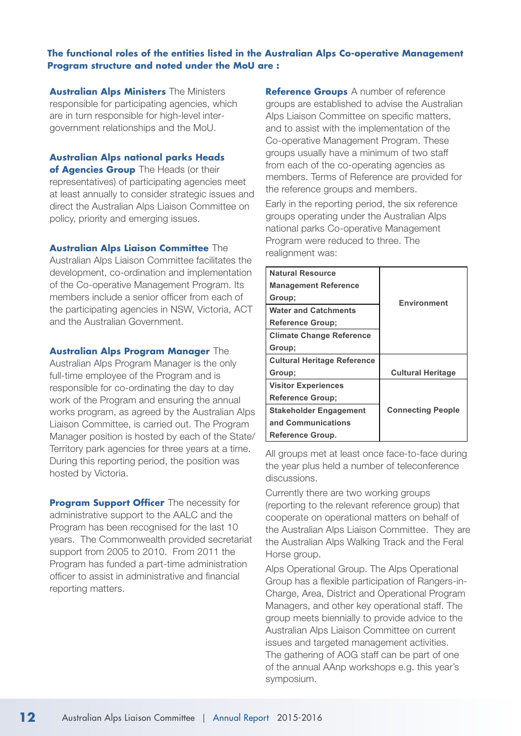#### **The functional roles of the entities listed in the Australian Alps Co-operative Management Program structure and noted under the MoU are :**

**Australian Alps Ministers** The Ministers responsible for participating agencies, which are in turn responsible for high-level intergovernment relationships and the MoU.

#### **Australian Alps national parks Heads**

**of Agencies Group** The Heads (or their representatives) of participating agencies meet at least annually to consider strategic issues and direct the Australian Alps Liaison Committee on policy, priority and emerging issues.

#### **Australian Alps Liaison Committee** The

Australian Alps Liaison Committee facilitates the development, co-ordination and implementation of the Co-operative Management Program. Its members include a senior officer from each of the participating agencies in NSW, Victoria, ACT and the Australian Government.

#### **Australian Alps Program Manager** The

Australian Alps Program Manager is the only full-time employee of the Program and is responsible for co-ordinating the day to day work of the Program and ensuring the annual works program, as agreed by the Australian Alps Liaison Committee, is carried out. The Program Manager position is hosted by each of the State/ Territory park agencies for three years at a time. During this reporting period, the position was hosted by Victoria.

**Program Support Officer** The necessity for administrative support to the AALC and the Program has been recognised for the last 10 years. The Commonwealth provided secretariat support from 2005 to 2010. From 2011 the Program has funded a part-time administration officer to assist in administrative and financial reporting matters.

**Reference Groups** A number of reference groups are established to advise the Australian Alps Liaison Committee on specific matters, and to assist with the implementation of the Co-operative Management Program. These groups usually have a minimum of two staff from each of the co-operating agencies as members. Terms of Reference are provided for the reference groups and members.

Early in the reporting period, the six reference groups operating under the Australian Alps national parks Co-operative Management Program were reduced to three. The realignment was:

| <b>Natural Resource</b>            |                          |
|------------------------------------|--------------------------|
| <b>Management Reference</b>        |                          |
| Group;                             | <b>Environment</b>       |
| <b>Water and Catchments</b>        |                          |
| <b>Reference Group:</b>            |                          |
| <b>Climate Change Reference</b>    |                          |
| Group;                             |                          |
| <b>Cultural Heritage Reference</b> |                          |
|                                    |                          |
| Group;                             | <b>Cultural Heritage</b> |
| <b>Visitor Experiences</b>         |                          |
| <b>Reference Group;</b>            |                          |
| <b>Stakeholder Engagement</b>      | <b>Connecting People</b> |
| and Communications                 |                          |

All groups met at least once face-to-face during the year plus held a number of teleconference discussions.

Currently there are two working groups (reporting to the relevant reference group) that cooperate on operational matters on behalf of the Australian Alps Liaison Committee. They are the Australian Alps Walking Track and the Feral Horse group.

Alps Operational Group. The Alps Operational Group has a flexible participation of Rangers-in-Charge, Area, District and Operational Program Managers, and other key operational staff. The group meets biennially to provide advice to the Australian Alps Liaison Committee on current issues and targeted management activities. The gathering of AOG staff can be part of one of the annual AAnp workshops e.g. this year's symposium.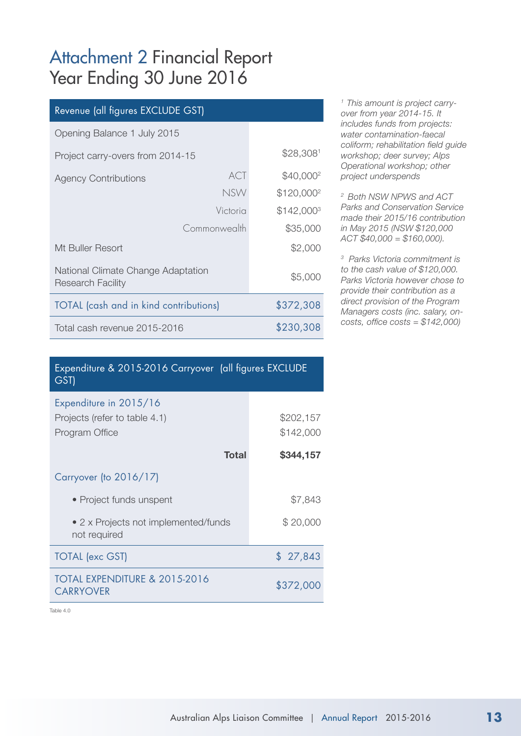### Attachment 2 Financial Report Year Ending 30 June 2016

| Revenue (all figures EXCLUDE GST)                              |            |                        |  |  |
|----------------------------------------------------------------|------------|------------------------|--|--|
| Opening Balance 1 July 2015                                    |            |                        |  |  |
| Project carry-overs from 2014-15                               | \$28,3081  |                        |  |  |
| <b>Agency Contributions</b>                                    | <b>ACT</b> | \$40,000 <sup>2</sup>  |  |  |
|                                                                | <b>NSW</b> | \$120,000 <sup>2</sup> |  |  |
|                                                                | Victoria   | $$142,000^3$           |  |  |
| Commonwealth                                                   |            | \$35,000               |  |  |
| Mt Buller Resort                                               |            | \$2,000                |  |  |
| National Climate Change Adaptation<br><b>Research Facility</b> | \$5,000    |                        |  |  |
| <b>TOTAL</b> (cash and in kind contributions)                  |            | \$372,308              |  |  |
| Total cash revenue 2015-2016                                   | \$230,308  |                        |  |  |

*1 This amount is project carryover from year 2014-15. It includes funds from projects: water contamination-faecal coliform; rehabilitation field guide workshop; deer survey; Alps Operational workshop; other project underspends*

*2 Both NSW NPWS and ACT Parks and Conservation Service made their 2015/16 contribution in May 2015 (NSW \$120,000 ACT \$40,000 = \$160,000).* 

*3 Parks Victoria commitment is to the cash value of \$120,000. Parks Victoria however chose to provide their contribution as a direct provision of the Program Managers costs (inc. salary, oncosts, office costs = \$142,000)*

| Expenditure & 2015-2016 Carryover (all figures EXCLUDE |
|--------------------------------------------------------|
|                                                        |
| \$202,157                                              |
| \$142,000                                              |
| \$344,157                                              |
|                                                        |
| \$7,843                                                |
| \$20,000                                               |
| \$27,843                                               |
| \$372,000                                              |
|                                                        |

Table 4.0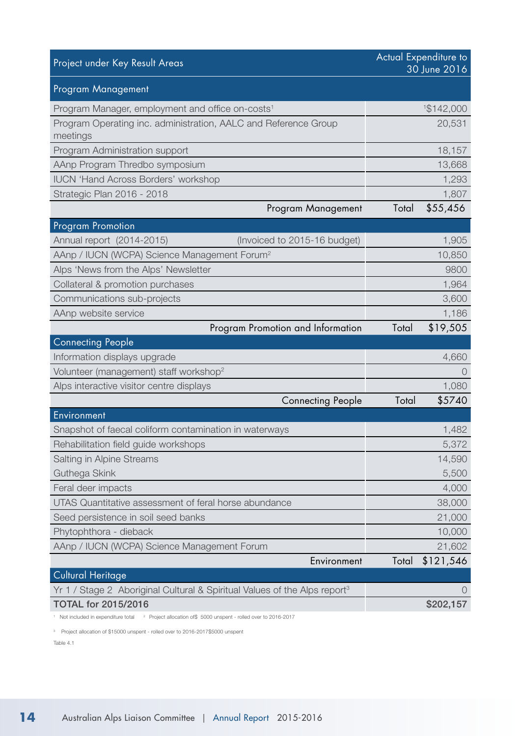| Project under Key Result Areas                                                        |       | Actual Expenditure to<br>30 June 2016 |  |
|---------------------------------------------------------------------------------------|-------|---------------------------------------|--|
| Program Management                                                                    |       |                                       |  |
| Program Manager, employment and office on-costs <sup>1</sup>                          |       | 1\$142,000                            |  |
| Program Operating inc. administration, AALC and Reference Group<br>meetings           |       | 20,531                                |  |
| Program Administration support                                                        |       | 18,157                                |  |
| AAnp Program Thredbo symposium                                                        |       | 13,668                                |  |
| <b>IUCN 'Hand Across Borders' workshop</b>                                            |       | 1,293                                 |  |
| Strategic Plan 2016 - 2018                                                            |       | 1,807                                 |  |
| Program Management                                                                    | Total | \$55,456                              |  |
| <b>Program Promotion</b>                                                              |       |                                       |  |
| Annual report (2014-2015)<br>(Invoiced to 2015-16 budget)                             |       | 1,905                                 |  |
| AAnp / IUCN (WCPA) Science Management Forum <sup>2</sup>                              |       | 10,850                                |  |
| Alps 'News from the Alps' Newsletter                                                  |       | 9800                                  |  |
| Collateral & promotion purchases                                                      |       | 1,964                                 |  |
| Communications sub-projects                                                           |       | 3,600                                 |  |
| AAnp website service                                                                  |       | 1,186                                 |  |
| Program Promotion and Information                                                     | Total | \$19,505                              |  |
| <b>Connecting People</b>                                                              |       |                                       |  |
| Information displays upgrade                                                          |       | 4,660                                 |  |
| Volunteer (management) staff workshop <sup>2</sup>                                    |       | $\left( \right)$                      |  |
| Alps interactive visitor centre displays                                              |       | 1,080                                 |  |
| <b>Connecting People</b>                                                              | Total | \$5740                                |  |
| Environment                                                                           |       |                                       |  |
| Snapshot of faecal coliform contamination in waterways                                |       | 1,482                                 |  |
| Rehabilitation field guide workshops                                                  |       | 5,372                                 |  |
| Salting in Alpine Streams                                                             |       | 14,590                                |  |
| Guthega Skink                                                                         |       | 5,500                                 |  |
| Feral deer impacts                                                                    |       | 4,000                                 |  |
| UTAS Quantitative assessment of feral horse abundance                                 |       | 38,000                                |  |
| Seed persistence in soil seed banks                                                   |       | 21,000                                |  |
| Phytophthora - dieback                                                                |       | 10,000                                |  |
| AAnp / IUCN (WCPA) Science Management Forum                                           |       | 21,602                                |  |
| Environment                                                                           | Total | \$121,546                             |  |
| <b>Cultural Heritage</b>                                                              |       |                                       |  |
| Yr 1 / Stage 2 Aboriginal Cultural & Spiritual Values of the Alps report <sup>3</sup> |       | U                                     |  |
| <b>TOTAL for 2015/2016</b>                                                            |       | \$202,157                             |  |

Not included in expenditure total <sup>2</sup> Project allocation of \$5000 unspent - rolled over to 2016-2017

3 Project allocation of \$15000 unspent - rolled over to 2016-2017\$5000 unspent

Table 4.1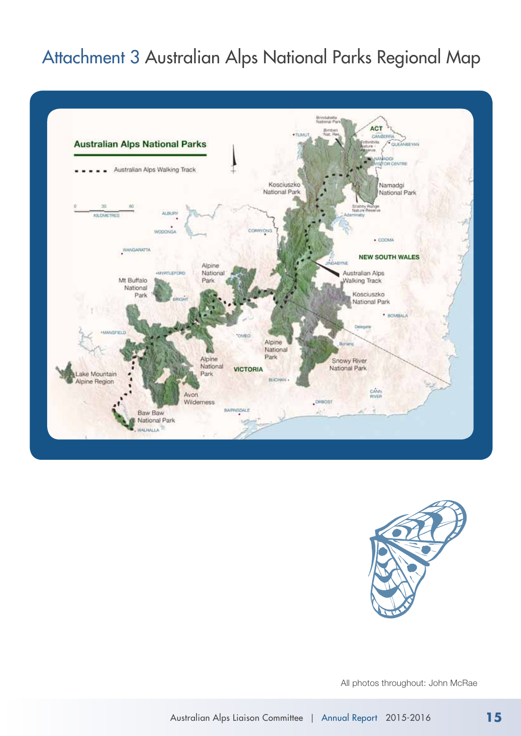# Attachment 3 Australian Alps National Parks Regional Map





All photos throughout: John McRae